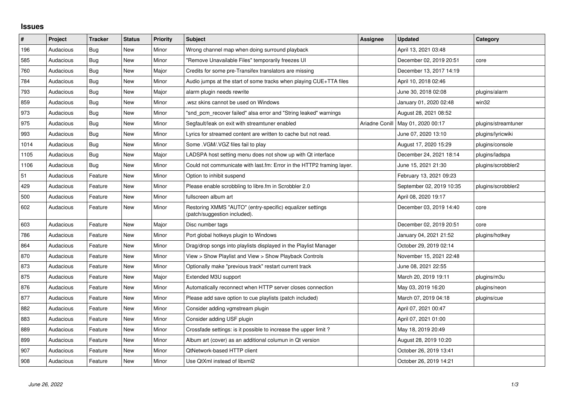## **Issues**

| $\vert$ # | Project   | <b>Tracker</b> | <b>Status</b> | <b>Priority</b> | <b>Subject</b>                                                                            | <b>Assignee</b> | <b>Updated</b>           | Category            |
|-----------|-----------|----------------|---------------|-----------------|-------------------------------------------------------------------------------------------|-----------------|--------------------------|---------------------|
| 196       | Audacious | Bug            | <b>New</b>    | Minor           | Wrong channel map when doing surround playback                                            |                 | April 13, 2021 03:48     |                     |
| 585       | Audacious | <b>Bug</b>     | <b>New</b>    | Minor           | "Remove Unavailable Files" temporarily freezes UI                                         |                 | December 02, 2019 20:51  | core                |
| 760       | Audacious | <b>Bug</b>     | New           | Major           | Credits for some pre-Transifex translators are missing                                    |                 | December 13, 2017 14:19  |                     |
| 784       | Audacious | <b>Bug</b>     | <b>New</b>    | Minor           | Audio jumps at the start of some tracks when playing CUE+TTA files                        |                 | April 10, 2018 02:46     |                     |
| 793       | Audacious | <b>Bug</b>     | <b>New</b>    | Major           | alarm plugin needs rewrite                                                                |                 | June 30, 2018 02:08      | plugins/alarm       |
| 859       | Audacious | <b>Bug</b>     | New           | Minor           | wsz skins cannot be used on Windows                                                       |                 | January 01, 2020 02:48   | win32               |
| 973       | Audacious | <b>Bug</b>     | <b>New</b>    | Minor           | "snd_pcm_recover failed" alsa error and "String leaked" warnings                          |                 | August 28, 2021 08:52    |                     |
| 975       | Audacious | Bug            | New           | Minor           | Segfault/leak on exit with streamtuner enabled                                            | Ariadne Conill  | May 01, 2020 00:17       | plugins/streamtuner |
| 993       | Audacious | Bug            | <b>New</b>    | Minor           | Lyrics for streamed content are written to cache but not read.                            |                 | June 07, 2020 13:10      | plugins/lyricwiki   |
| 1014      | Audacious | Bug            | <b>New</b>    | Minor           | Some . VGM/. VGZ files fail to play                                                       |                 | August 17, 2020 15:29    | plugins/console     |
| 1105      | Audacious | <b>Bug</b>     | New           | Major           | LADSPA host setting menu does not show up with Qt interface                               |                 | December 24, 2021 18:14  | plugins/ladspa      |
| 1106      | Audacious | Bug            | <b>New</b>    | Minor           | Could not communicate with last.fm: Error in the HTTP2 framing layer.                     |                 | June 15, 2021 21:30      | plugins/scrobbler2  |
| 51        | Audacious | Feature        | <b>New</b>    | Minor           | Option to inhibit suspend                                                                 |                 | February 13, 2021 09:23  |                     |
| 429       | Audacious | Feature        | <b>New</b>    | Minor           | Please enable scrobbling to libre.fm in Scrobbler 2.0                                     |                 | September 02, 2019 10:35 | plugins/scrobbler2  |
| 500       | Audacious | Feature        | <b>New</b>    | Minor           | fullscreen album art                                                                      |                 | April 08, 2020 19:17     |                     |
| 602       | Audacious | Feature        | New           | Minor           | Restoring XMMS "AUTO" (entry-specific) equalizer settings<br>(patch/suggestion included). |                 | December 03, 2019 14:40  | core                |
| 603       | Audacious | Feature        | <b>New</b>    | Major           | Disc number tags                                                                          |                 | December 02, 2019 20:51  | core                |
| 786       | Audacious | Feature        | <b>New</b>    | Minor           | Port global hotkeys plugin to Windows                                                     |                 | January 04, 2021 21:52   | plugins/hotkey      |
| 864       | Audacious | Feature        | <b>New</b>    | Minor           | Drag/drop songs into playlists displayed in the Playlist Manager                          |                 | October 29, 2019 02:14   |                     |
| 870       | Audacious | Feature        | New           | Minor           | View > Show Playlist and View > Show Playback Controls                                    |                 | November 15, 2021 22:48  |                     |
| 873       | Audacious | Feature        | <b>New</b>    | Minor           | Optionally make "previous track" restart current track                                    |                 | June 08, 2021 22:55      |                     |
| 875       | Audacious | Feature        | <b>New</b>    | Major           | Extended M3U support                                                                      |                 | March 20, 2019 19:11     | plugins/m3u         |
| 876       | Audacious | Feature        | New           | Minor           | Automatically reconnect when HTTP server closes connection                                |                 | May 03, 2019 16:20       | plugins/neon        |
| 877       | Audacious | Feature        | <b>New</b>    | Minor           | Please add save option to cue playlists (patch included)                                  |                 | March 07, 2019 04:18     | plugins/cue         |
| 882       | Audacious | Feature        | <b>New</b>    | Minor           | Consider adding vgmstream plugin                                                          |                 | April 07, 2021 00:47     |                     |
| 883       | Audacious | Feature        | New           | Minor           | Consider adding USF plugin                                                                |                 | April 07, 2021 01:00     |                     |
| 889       | Audacious | Feature        | <b>New</b>    | Minor           | Crossfade settings: is it possible to increase the upper limit?                           |                 | May 18, 2019 20:49       |                     |
| 899       | Audacious | Feature        | New           | Minor           | Album art (cover) as an additional columun in Qt version                                  |                 | August 28, 2019 10:20    |                     |
| 907       | Audacious | Feature        | <b>New</b>    | Minor           | QtNetwork-based HTTP client                                                               |                 | October 26, 2019 13:41   |                     |
| 908       | Audacious | Feature        | <b>New</b>    | Minor           | Use QtXml instead of libxml2                                                              |                 | October 26, 2019 14:21   |                     |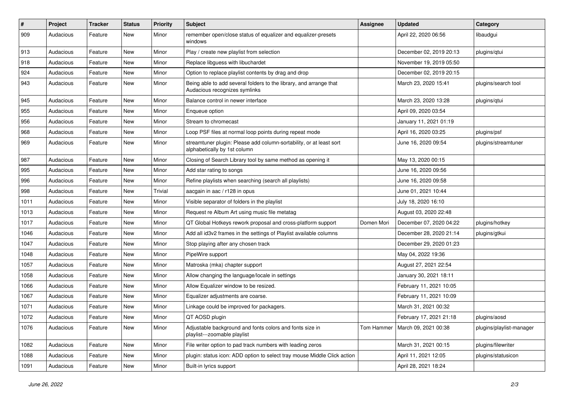| #    | Project   | <b>Tracker</b> | <b>Status</b> | <b>Priority</b> | <b>Subject</b>                                                                                      | <b>Assignee</b> | <b>Updated</b>                    | Category                 |
|------|-----------|----------------|---------------|-----------------|-----------------------------------------------------------------------------------------------------|-----------------|-----------------------------------|--------------------------|
| 909  | Audacious | Feature        | New           | Minor           | remember open/close status of equalizer and equalizer-presets<br>windows                            |                 | April 22, 2020 06:56              | libaudgui                |
| 913  | Audacious | Feature        | New           | Minor           | Play / create new playlist from selection                                                           |                 | December 02, 2019 20:13           | plugins/qtui             |
| 918  | Audacious | Feature        | New           | Minor           | Replace libguess with libuchardet                                                                   |                 | November 19, 2019 05:50           |                          |
| 924  | Audacious | Feature        | New           | Minor           | Option to replace playlist contents by drag and drop                                                |                 | December 02, 2019 20:15           |                          |
| 943  | Audacious | Feature        | New           | Minor           | Being able to add several folders to the library, and arrange that<br>Audacious recognizes symlinks |                 | March 23, 2020 15:41              | plugins/search tool      |
| 945  | Audacious | Feature        | New           | Minor           | Balance control in newer interface                                                                  |                 | March 23, 2020 13:28              | plugins/qtui             |
| 955  | Audacious | Feature        | New           | Minor           | Enqueue option                                                                                      |                 | April 09, 2020 03:54              |                          |
| 956  | Audacious | Feature        | <b>New</b>    | Minor           | Stream to chromecast                                                                                |                 | January 11, 2021 01:19            |                          |
| 968  | Audacious | Feature        | New           | Minor           | Loop PSF files at normal loop points during repeat mode                                             |                 | April 16, 2020 03:25              | plugins/psf              |
| 969  | Audacious | Feature        | New           | Minor           | streamtuner plugin: Please add column-sortability, or at least sort<br>alphabetically by 1st column |                 | June 16, 2020 09:54               | plugins/streamtuner      |
| 987  | Audacious | Feature        | New           | Minor           | Closing of Search Library tool by same method as opening it                                         |                 | May 13, 2020 00:15                |                          |
| 995  | Audacious | Feature        | New           | Minor           | Add star rating to songs                                                                            |                 | June 16, 2020 09:56               |                          |
| 996  | Audacious | Feature        | New           | Minor           | Refine playlists when searching (search all playlists)                                              |                 | June 16, 2020 09:58               |                          |
| 998  | Audacious | Feature        | New           | Trivial         | aacgain in aac / r128 in opus                                                                       |                 | June 01, 2021 10:44               |                          |
| 1011 | Audacious | Feature        | <b>New</b>    | Minor           | Visible separator of folders in the playlist                                                        |                 | July 18, 2020 16:10               |                          |
| 1013 | Audacious | Feature        | New           | Minor           | Request re Album Art using music file metatag                                                       |                 | August 03, 2020 22:48             |                          |
| 1017 | Audacious | Feature        | New           | Minor           | QT Global Hotkeys rework proposal and cross-platform support                                        | Domen Mori      | December 07, 2020 04:22           | plugins/hotkey           |
| 1046 | Audacious | Feature        | New           | Minor           | Add all id3v2 frames in the settings of Playlist available columns                                  |                 | December 28, 2020 21:14           | plugins/gtkui            |
| 1047 | Audacious | Feature        | New           | Minor           | Stop playing after any chosen track                                                                 |                 | December 29, 2020 01:23           |                          |
| 1048 | Audacious | Feature        | New           | Minor           | PipeWire support                                                                                    |                 | May 04, 2022 19:36                |                          |
| 1057 | Audacious | Feature        | New           | Minor           | Matroska (mka) chapter support                                                                      |                 | August 27, 2021 22:54             |                          |
| 1058 | Audacious | Feature        | New           | Minor           | Allow changing the language/locale in settings                                                      |                 | January 30, 2021 18:11            |                          |
| 1066 | Audacious | Feature        | New           | Minor           | Allow Equalizer window to be resized.                                                               |                 | February 11, 2021 10:05           |                          |
| 1067 | Audacious | Feature        | New           | Minor           | Equalizer adjustments are coarse.                                                                   |                 | February 11, 2021 10:09           |                          |
| 1071 | Audacious | Feature        | New           | Minor           | Linkage could be improved for packagers.                                                            |                 | March 31, 2021 00:32              |                          |
| 1072 | Audacious | Feature        | New           | Minor           | QT AOSD plugin                                                                                      |                 | February 17, 2021 21:18           | plugins/aosd             |
| 1076 | Audacious | Feature        | New           | Minor           | Adjustable background and fonts colors and fonts size in<br>playlist---zoomable playlist            |                 | Tom Hammer   March 09, 2021 00:38 | plugins/playlist-manager |
| 1082 | Audacious | Feature        | New           | Minor           | File writer option to pad track numbers with leading zeros                                          |                 | March 31, 2021 00:15              | plugins/filewriter       |
| 1088 | Audacious | Feature        | New           | Minor           | plugin: status icon: ADD option to select tray mouse Middle Click action                            |                 | April 11, 2021 12:05              | plugins/statusicon       |
| 1091 | Audacious | Feature        | New           | Minor           | Built-in lyrics support                                                                             |                 | April 28, 2021 18:24              |                          |